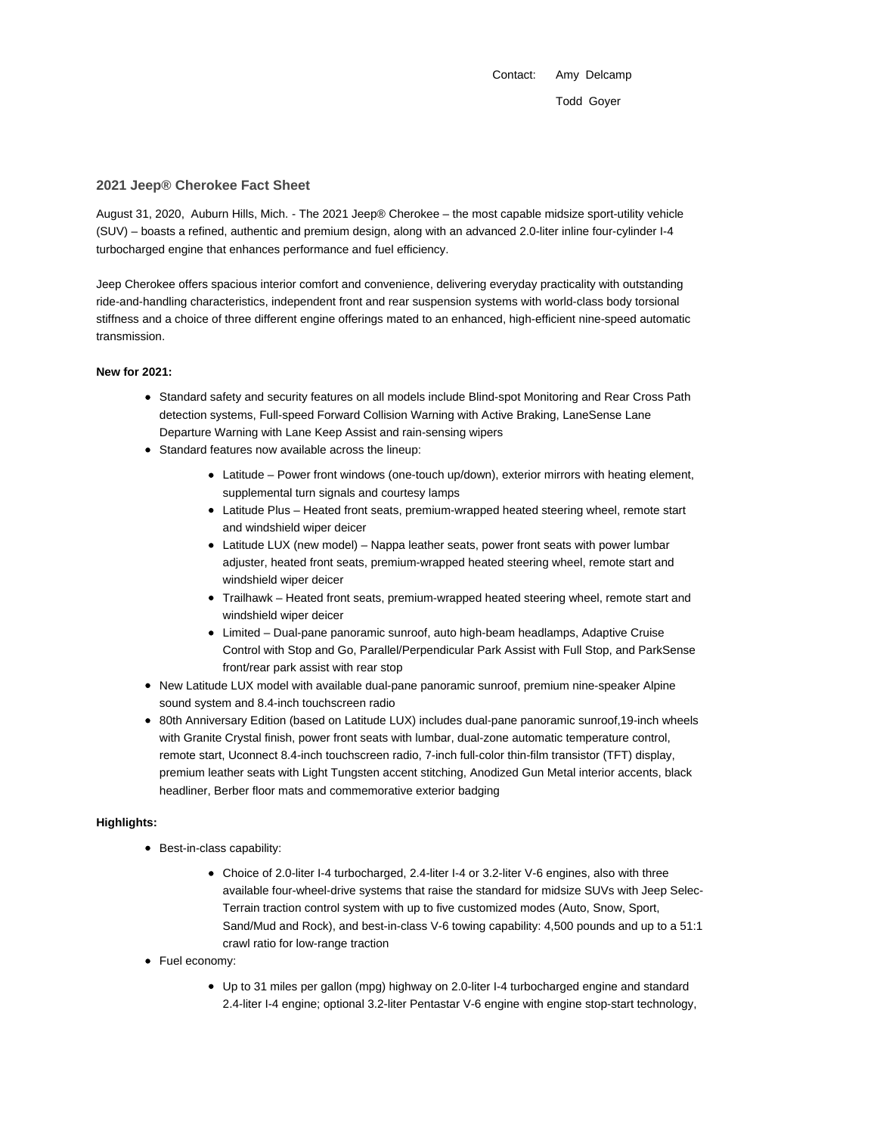Contact: Amy Delcamp Todd Goyer

### **2021 Jeep® Cherokee Fact Sheet**

August 31, 2020, Auburn Hills, Mich. - The 2021 Jeep® Cherokee – the most capable midsize sport-utility vehicle (SUV) – boasts a refined, authentic and premium design, along with an advanced 2.0-liter inline four-cylinder I-4 turbocharged engine that enhances performance and fuel efficiency.

Jeep Cherokee offers spacious interior comfort and convenience, delivering everyday practicality with outstanding ride-and-handling characteristics, independent front and rear suspension systems with world-class body torsional stiffness and a choice of three different engine offerings mated to an enhanced, high-efficient nine-speed automatic transmission.

### **New for 2021:**

- Standard safety and security features on all models include Blind-spot Monitoring and Rear Cross Path detection systems, Full-speed Forward Collision Warning with Active Braking, LaneSense Lane Departure Warning with Lane Keep Assist and rain-sensing wipers
- Standard features now available across the lineup:
	- Latitude Power front windows (one-touch up/down), exterior mirrors with heating element, supplemental turn signals and courtesy lamps
	- Latitude Plus Heated front seats, premium-wrapped heated steering wheel, remote start and windshield wiper deicer
	- Latitude LUX (new model) Nappa leather seats, power front seats with power lumbar adjuster, heated front seats, premium-wrapped heated steering wheel, remote start and windshield wiper deicer
	- Trailhawk Heated front seats, premium-wrapped heated steering wheel, remote start and windshield wiper deicer
	- Limited Dual-pane panoramic sunroof, auto high-beam headlamps, Adaptive Cruise Control with Stop and Go, Parallel/Perpendicular Park Assist with Full Stop, and ParkSense front/rear park assist with rear stop
- New Latitude LUX model with available dual-pane panoramic sunroof, premium nine-speaker Alpine sound system and 8.4-inch touchscreen radio
- 80th Anniversary Edition (based on Latitude LUX) includes dual-pane panoramic sunroof,19-inch wheels with Granite Crystal finish, power front seats with lumbar, dual-zone automatic temperature control, remote start, Uconnect 8.4-inch touchscreen radio, 7-inch full-color thin-film transistor (TFT) display, premium leather seats with Light Tungsten accent stitching, Anodized Gun Metal interior accents, black headliner, Berber floor mats and commemorative exterior badging

### **Highlights:**

- Best-in-class capability:
	- Choice of 2.0-liter I-4 turbocharged, 2.4-liter I-4 or 3.2-liter V-6 engines, also with three available four-wheel-drive systems that raise the standard for midsize SUVs with Jeep Selec-Terrain traction control system with up to five customized modes (Auto, Snow, Sport, Sand/Mud and Rock), and best-in-class V-6 towing capability: 4,500 pounds and up to a 51:1 crawl ratio for low-range traction
- Fuel economy:
	- Up to 31 miles per gallon (mpg) highway on 2.0-liter I-4 turbocharged engine and standard 2.4-liter I-4 engine; optional 3.2-liter Pentastar V-6 engine with engine stop-start technology,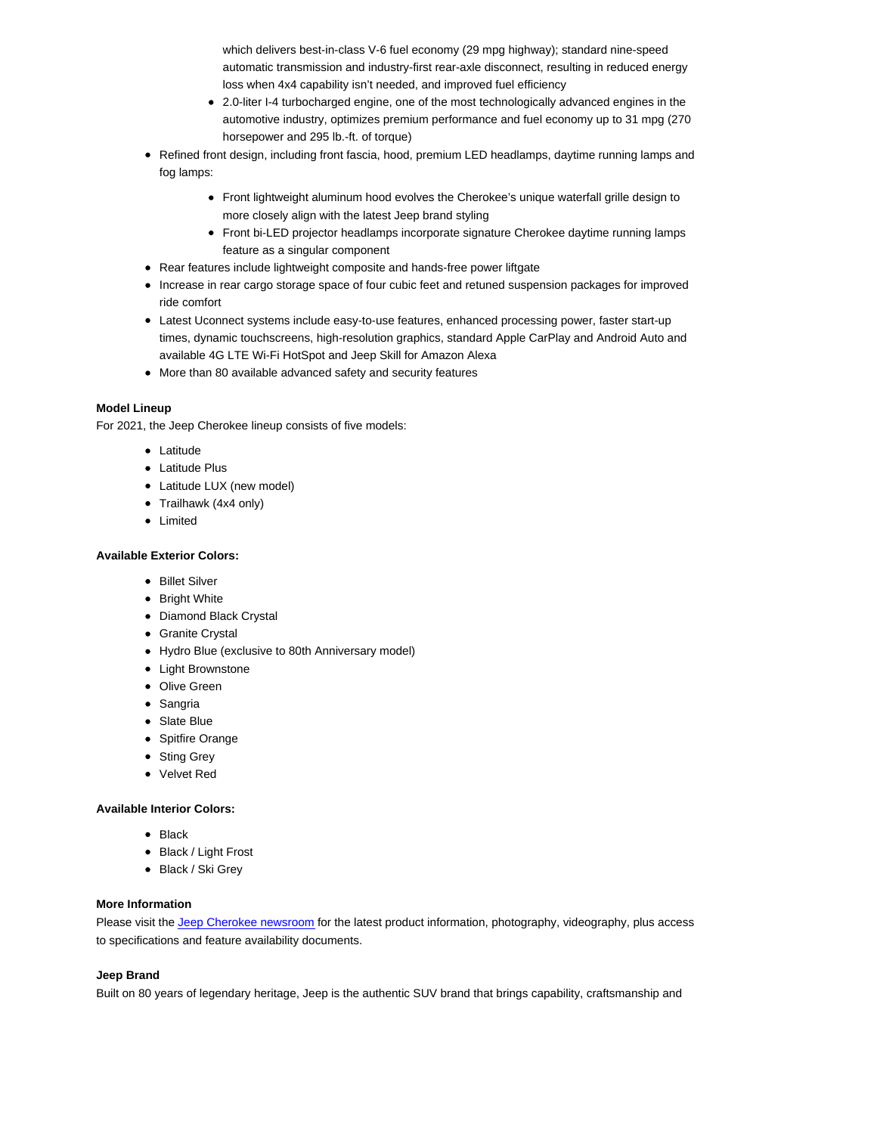which delivers best-in-class V-6 fuel economy (29 mpg highway); standard nine-speed automatic transmission and industry-first rear-axle disconnect, resulting in reduced energy loss when 4x4 capability isn't needed, and improved fuel efficiency

- 2.0-liter I-4 turbocharged engine, one of the most technologically advanced engines in the automotive industry, optimizes premium performance and fuel economy up to 31 mpg (270 horsepower and 295 lb.-ft. of torque)
- Refined front design, including front fascia, hood, premium LED headlamps, daytime running lamps and fog lamps:
	- Front lightweight aluminum hood evolves the Cherokee's unique waterfall grille design to more closely align with the latest Jeep brand styling
	- Front bi-LED projector headlamps incorporate signature Cherokee daytime running lamps feature as a singular component
- Rear features include lightweight composite and hands-free power liftgate
- Increase in rear cargo storage space of four cubic feet and retuned suspension packages for improved ride comfort
- Latest Uconnect systems include easy-to-use features, enhanced processing power, faster start-up times, dynamic touchscreens, high-resolution graphics, standard Apple CarPlay and Android Auto and available 4G LTE Wi-Fi HotSpot and Jeep Skill for Amazon Alexa
- More than 80 available advanced safety and security features

# **Model Lineup**

For 2021, the Jeep Cherokee lineup consists of five models:

- Latitude
- Latitude Plus
- Latitude LUX (new model)
- Trailhawk (4x4 only)
- Limited

# **Available Exterior Colors:**

- Billet Silver
- Bright White
- Diamond Black Crystal
- Granite Crystal
- Hydro Blue (exclusive to 80th Anniversary model)
- Light Brownstone
- Olive Green
- Sangria
- Slate Blue
- Spitfire Orange
- Sting Grey
- Velvet Red

### **Available Interior Colors:**

- Black
- Black / Light Frost
- Black / Ski Grey

### **More Information**

Please visit the Jeep Cherokee newsroom for the latest product information, photography, videography, plus access to specifications and feature availability documents.

## **Jeep Brand**

Built on 80 years of legendary heritage, Jeep is the authentic SUV brand that brings capability, craftsmanship and